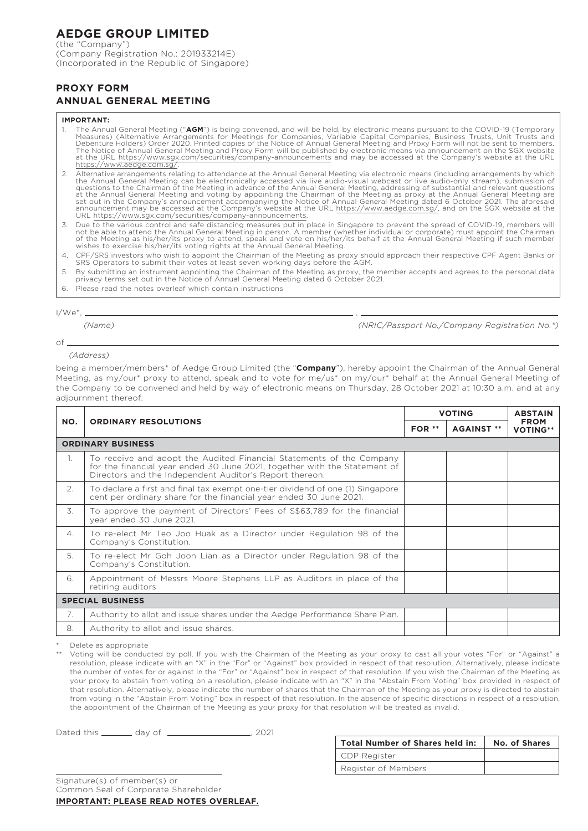# **AEDGE GROUP LIMITED**

(the "Company") (Company Registration No.: 201933214E) (Incorporated in the Republic of Singapore)

## **PROXY FORM ANNUAL GENERAL MEETING**

#### **IMPORTANT:**

- 1. The Annual General Meeting ("**AGM**") is being convened, and will be held, by electronic means pursuant to the COVID-19 (Temporary Measures) (Alternative Arrangements for Meetings for Companies, Variable Capital Companie
- 2. Alternative arrangements relating to attendance at the Annual General Meeting via electronic means (including arrangements by which the Annual General Meeting can be electronically accessed via live audio-visual webcast or live audio-only stream), submission of<br>questions to the Chairman of the Meeting in advance of the Annual General Meeting, addressin at the Annual General Meeting and voting by appointing the Chairman of the Meeting as proxy at the Annual General Meeting are<br>set out in the Company's announcement accompanying the Notice of Annual General Meeting dated 6 URL https://www.sgx.com/securities/company-announcements.
- 3. Due to the various control and safe distancing measures put in place in Singapore to prevent the spread of COVID-19, members will<br>not be able to attend the Annual General Meeting in person. A member (whether individual
- 4. CPF/SRS investors who wish to appoint the Chairman of the Meeting as proxy should approach their respective CPF Agent Banks or SRS Operators to submit their votes at least seven working days before the AGM.
- 5. By submitting an instrument appointing the Chairman of the Meeting as proxy, the member accepts and agrees to the personal data privacy terms set out in the Notice of Annual General Meeting dated 6 October 2021.
- 6. Please read the notes overleaf which contain instructions

 $I/We^*$ .

of

*(Name) (NRIC/Passport No./Company Registration No.\*)*

#### *(Address)*

being a member/members<sup>\*</sup> of Aedge Group Limited (the "**Company**"), hereby appoint the Chairman of the Annual General Meeting, as my/our\* proxy to attend, speak and to vote for me/us\* on my/our\* behalf at the Annual General Meeting of the Company to be convened and held by way of electronic means on Thursday, 28 October 2021 at 10:30 a.m. and at any adjournment thereof.

| NO.                      | <b>ORDINARY RESOLUTIONS</b>                                                                                                                                                                                  | <b>VOTING</b> |                   | <b>ABSTAIN</b>                 |  |
|--------------------------|--------------------------------------------------------------------------------------------------------------------------------------------------------------------------------------------------------------|---------------|-------------------|--------------------------------|--|
|                          |                                                                                                                                                                                                              | $FOR **$      | <b>AGAINST **</b> | <b>FROM</b><br><b>VOTING**</b> |  |
| <b>ORDINARY BUSINESS</b> |                                                                                                                                                                                                              |               |                   |                                |  |
| $\mathbb{1}$ .           | To receive and adopt the Audited Financial Statements of the Company<br>for the financial year ended 30 June 2021, together with the Statement of<br>Directors and the Independent Auditor's Report thereon. |               |                   |                                |  |
| 2.                       | To declare a first and final tax exempt one-tier dividend of one (1) Singapore<br>cent per ordinary share for the financial year ended 30 June 2021.                                                         |               |                   |                                |  |
| 3.                       | To approve the payment of Directors' Fees of S\$63,789 for the financial<br>year ended 30 June 2021.                                                                                                         |               |                   |                                |  |
| 4.                       | To re-elect Mr Teo Joo Huak as a Director under Regulation 98 of the<br>Company's Constitution.                                                                                                              |               |                   |                                |  |
| 5.                       | To re-elect Mr Goh Joon Lian as a Director under Regulation 98 of the<br>Company's Constitution.                                                                                                             |               |                   |                                |  |
| 6.                       | Appointment of Messrs Moore Stephens LLP as Auditors in place of the<br>retiring auditors                                                                                                                    |               |                   |                                |  |
| <b>SPECIAL BUSINESS</b>  |                                                                                                                                                                                                              |               |                   |                                |  |
| 7.                       | Authority to allot and issue shares under the Aedge Performance Share Plan.                                                                                                                                  |               |                   |                                |  |
| 8.                       | Authority to allot and issue shares.                                                                                                                                                                         |               |                   |                                |  |

Delete as appropriate

Voting will be conducted by poll. If you wish the Chairman of the Meeting as your proxy to cast all your votes "For" or "Against" a resolution, please indicate with an "X" in the "For" or "Against" box provided in respect of that resolution. Alternatively, please indicate the number of votes for or against in the "For" or "Against" box in respect of that resolution. If you wish the Chairman of the Meeting as your proxy to abstain from voting on a resolution, please indicate with an "X" in the "Abstain From Voting" box provided in respect of that resolution. Alternatively, please indicate the number of shares that the Chairman of the Meeting as your proxy is directed to abstain from voting in the "Abstain From Voting" box in respect of that resolution. In the absence of specific directions in respect of a resolution, the appointment of the Chairman of the Meeting as your proxy for that resolution will be treated as invalid.

Dated this \_\_\_\_\_\_\_\_ day of \_\_\_\_\_\_\_\_\_\_\_\_\_\_\_\_\_\_\_\_\_\_, 2021

| <b>Total Number of Shares held in:</b> | No. of Shares |
|----------------------------------------|---------------|
| CDP Register                           |               |
| Register of Members                    |               |

Signature(s) of member(s) or Common Seal of Corporate Shareholder **IMPORTANT: PLEASE READ NOTES OVERLEAF.**